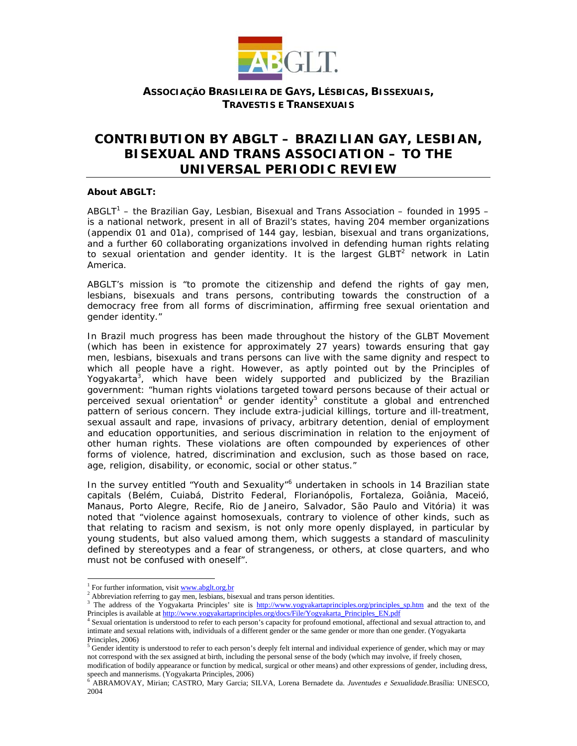

# **CONTRIBUTION BY ABGLT – BRAZILIAN GAY, LESBIAN, BISEXUAL AND TRANS ASSOCIATION – TO THE UNIVERSAL PERIODIC REVIEW**

### **About ABGLT:**

ABGLT<sup>1</sup> – the Brazilian Gay, Lesbian, Bisexual and Trans Association – founded in 1995 – is a national network, present in all of Brazil's states, having 204 member organizations *(appendix 01 and 01a)*, comprised of 144 gay, lesbian, bisexual and trans organizations, and a further 60 collaborating organizations involved in defending human rights relating to sexual orientation and gender identity. It is the largest  $GLBT<sup>2</sup>$  network in Latin America.

ABGLT's mission is "*to promote the citizenship and defend the rights of gay men, lesbians, bisexuals and trans persons, contributing towards the construction of a democracy free from all forms of discrimination, affirming free sexual orientation and gender identity*."

In Brazil much progress has been made throughout the history of the GLBT Movement (which has been in existence for approximately 27 years) towards ensuring that gay men, lesbians, bisexuals and trans persons can live with the same dignity and respect to which all people have a right. However, as aptly pointed out by the Principles of Yogyakarta<sup>3</sup>, which have been widely supported and publicized by the Brazilian government: "*human rights violations targeted toward persons because of their actual or perceived sexual orientation<sup>4</sup> or gender identity<sup>5</sup> constitute a global and entrenched pattern of serious concern. They include extra-judicial killings, torture and ill-treatment, sexual assault and rape, invasions of privacy, arbitrary detention, denial of employment and education opportunities, and serious discrimination in relation to the enjoyment of other human rights. These violations are often compounded by experiences of other forms of violence, hatred, discrimination and exclusion, such as those based on race, age, religion, disability, or economic, social or other status."* 

In the survey entitled "Youth and Sexuality"<sup>6</sup> undertaken in schools in 14 Brazilian state capitals (Belém, Cuiabá, Distrito Federal, Florianópolis, Fortaleza, Goiânia, Maceió, Manaus, Porto Alegre, Recife, Rio de Janeiro, Salvador, São Paulo and Vitória) it was noted that "*violence against homosexuals, contrary to violence of other kinds, such as that relating to racism and sexism, is not only more openly displayed, in particular by young students, but also valued among them, which suggests a standard of masculinity defined by stereotypes and a fear of strangeness, or others, at close quarters, and who must not be confused with oneself".* 

l

<sup>&</sup>lt;sup>1</sup> For further information, visit  $\frac{www.abglt.org.br}{m}$ For further information, visit  $\frac{www.abglt.org.br}{2}$ 

<sup>&</sup>lt;sup>2</sup> Abbreviation referring to gay men, lesbians, bisexual and trans person identities.<br><sup>3</sup> The address of the Yogyakarta Principles' site is http://www.yogyakartaprinciples.org/principles\_sp.htm and the text of the Principles is available at http://www.yogyakartaprinciples.org/docs/File/Yogyakarta\_Principles\_EN.pdf

Sexual orientation is understood to refer to each person's capacity for profound emotional, affectional and sexual attraction to, and intimate and sexual relations with, individuals of a different gender or the same gender or more than one gender. (Yogyakarta Principles, 2006)

 $5$  Gender identity is understood to refer to each person's deeply felt internal and individual experience of gender, which may or may not correspond with the sex assigned at birth, including the personal sense of the body (which may involve, if freely chosen,

modification of bodily appearance or function by medical, surgical or other means) and other expressions of gender, including dress, speech and mannerisms. (Yogyakarta Principles, 2006)

<sup>6</sup> ABRAMOVAY, Mirian; CASTRO, Mary Garcia; SILVA, Lorena Bernadete da. *Juventudes e Sexualidade.*Brasília: UNESCO, 2004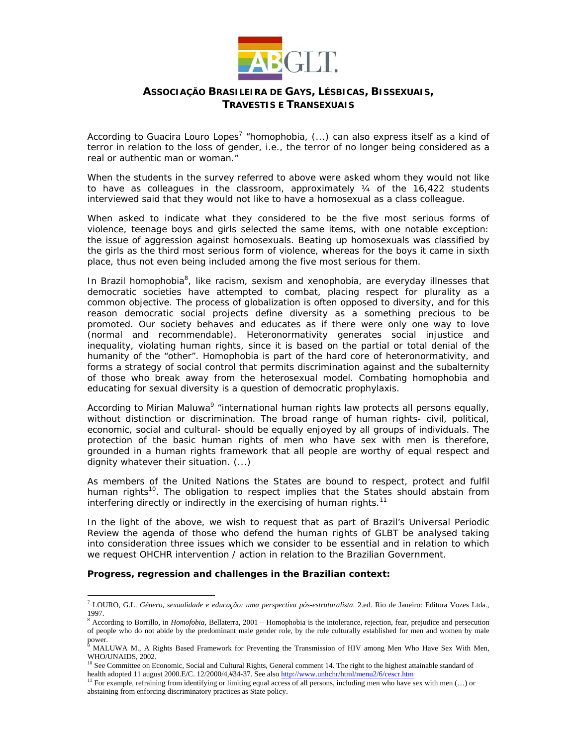

According to Guacira Louro Lopes<sup>7</sup> "*homophobia, (...) can also express itself as a kind of terror in relation to the loss of gender, i.e., the terror of no longer being considered as a real or authentic man or woman."*

When the students in the survey referred to above were asked whom they would not like to have as colleagues in the classroom, approximately  $\frac{1}{4}$  of the 16,422 students interviewed said that they would not like to have a homosexual as a class colleague.

When asked to indicate what they considered to be the five most serious forms of violence, teenage boys and girls selected the same items, with one notable exception: the issue of aggression against homosexuals. Beating up homosexuals was classified by the girls as the third most serious form of violence, whereas for the boys it came in sixth place, thus not even being included among the five most serious for them.

In Brazil homophobia<sup>8</sup>, like racism, sexism and xenophobia, are everyday illnesses that democratic societies have attempted to combat, placing respect for plurality as a common objective. The process of globalization is often opposed to diversity, and for this reason democratic social projects define diversity as a something precious to be promoted. Our society behaves and educates as if there were only one way to love (normal and recommendable). Heteronormativity generates social injustice and inequality, violating human rights, since it is based on the partial or total denial of the humanity of the "other". Homophobia is part of the hard core of heteronormativity, and forms a strategy of social control that permits discrimination against and the subalternity of those who break away from the heterosexual model. Combating homophobia and educating for sexual diversity is a question of democratic prophylaxis.

According to Mirian Maluwa<sup>9</sup> "*international human rights law protects all persons equally, without distinction or discrimination. The broad range of human rights- civil, political, economic, social and cultural- should be equally enjoyed by all groups of individuals. The protection of the basic human rights of men who have sex with men is therefore, grounded in a human rights framework that all people are worthy of equal respect and dignity whatever their situation. (...)* 

*As members of the United Nations the States are bound to respect, protect and fulfil human rights<sup>10</sup>. The obligation to respect implies that the States should abstain from interfering directly or indirectly in the exercising of human rights.<sup>11</sup>*

In the light of the above, we wish to request that as part of Brazil's Universal Periodic Review the agenda of those who defend the human rights of GLBT be analysed taking into consideration three issues which we consider to be essential and in relation to which we request OHCHR intervention / action in relation to the Brazilian Government.

### **Progress, regression and challenges in the Brazilian context:**

l

<sup>7</sup> LOURO, G.L. *Gênero, sexualidade e educação: uma perspectiva pós-estruturalista*. 2.ed. Rio de Janeiro: Editora Vozes Ltda., 1997.

<sup>&</sup>lt;sup>8</sup> According to Borrillo, in *Homofobia*, Bellaterra, 2001 – Homophobia is the intolerance, rejection, fear, prejudice and persecution of people who do not abide by the predominant male gender role, by the role culturally established for men and women by male power.<br><sup>9</sup> MAL

MALUWA M., A Rights Based Framework for Preventing the Transmission of HIV among Men Who Have Sex With Men, WHO/UNAIDS, 2002.

<sup>&</sup>lt;sup>10</sup> See Committee on Economic, Social and Cultural Rights, General comment 14. The right to the highest attainable standard of health adopted 11 august 2000.E/C. 12/2000/4,#34-37. See also http://www.unhchr/html/menu2/6/

For example, refraining from identifying or limiting equal access of all persons, including men who have sex with men  $(...)$  or abstaining from enforcing discriminatory practices as State policy.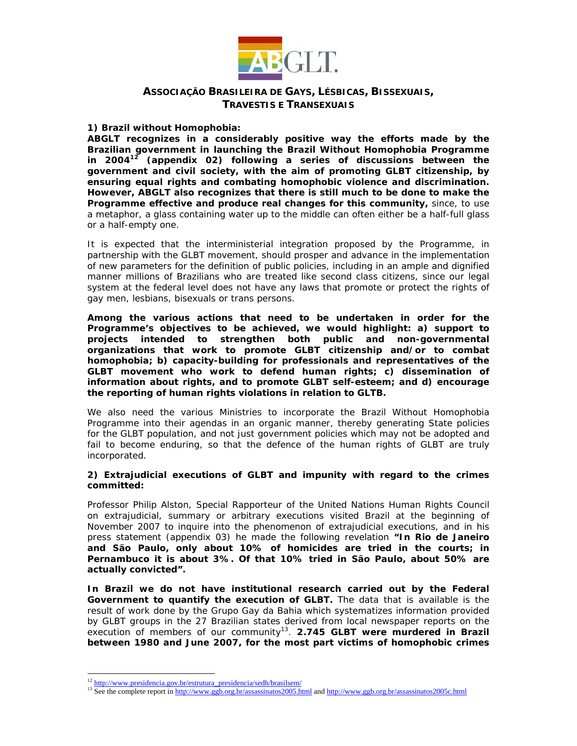

### **1) Brazil without Homophobia:**

**ABGLT recognizes in a considerably positive way the efforts made by the Brazilian government in launching the Brazil Without Homophobia Programme in 200412** *(appendix 02)* **following a series of discussions between the government and civil society, with the aim of promoting GLBT citizenship, by ensuring equal rights and combating homophobic violence and discrimination. However, ABGLT also recognizes that there is still much to be done to make the Programme effective and produce real changes for this community,** since, to use a metaphor, a glass containing water up to the middle can often either be a half-full glass or a half-empty one.

It is expected that the interministerial integration proposed by the Programme, in partnership with the GLBT movement, should prosper and advance in the implementation of new parameters for the definition of public policies, including in an ample and dignified manner millions of Brazilians who are treated like second class citizens, since our legal system at the federal level does not have any laws that promote or protect the rights of gay men, lesbians, bisexuals or trans persons.

**Among the various actions that need to be undertaken in order for the Programme's objectives to be achieved, we would highlight: a) support to projects intended to strengthen both public and non-governmental organizations that work to promote GLBT citizenship and/or to combat homophobia; b) capacity-building for professionals and representatives of the GLBT movement who work to defend human rights; c) dissemination of information about rights, and to promote GLBT self-esteem; and d) encourage the reporting of human rights violations in relation to GLTB.** 

We also need the various Ministries to incorporate the Brazil Without Homophobia Programme into their agendas in an organic manner, thereby generating State policies for the GLBT population, and not just government policies which may not be adopted and fail to become enduring, so that the defence of the human rights of GLBT are truly incorporated.

#### **2) Extrajudicial executions of GLBT and impunity with regard to the crimes committed:**

Professor Philip Alston, Special Rapporteur of the United Nations Human Rights Council on extrajudicial, summary or arbitrary executions visited Brazil at the beginning of November 2007 to inquire into the phenomenon of extrajudicial executions, and in his press statement *(appendix 03)* he made the following revelation **"***In Rio de Janeiro and São Paulo, only about 10% of homicides are tried in the courts; in Pernambuco it is about 3%. Of that 10% tried in São Paulo, about 50% are actually convicted"***.** 

**In Brazil we do not have institutional research carried out by the Federal Government to quantify the execution of GLBT.** The data that is available is the result of work done by the Grupo Gay da Bahia which systematizes information provided by GLBT groups in the 27 Brazilian states derived from local newspaper reports on the execution of members of our community<sup>13</sup>. **2.745 GLBT were murdered in Brazil between 1980 and June 2007, for the most part victims of homophobic crimes** 

 $12$  http://www.presidencia.gov.br/estrutura\_presidencia/sedh/brasilsem/

<sup>&</sup>lt;sup>13</sup> See the complete report in http://www.ggb.org.br/assassinatos2005.html and http://www.ggb.org.br/assassinatos2005c.html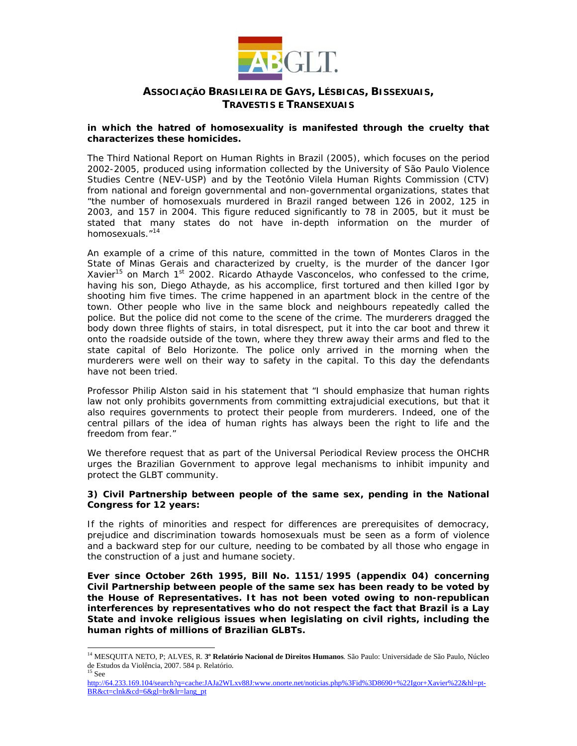

### **in which the hatred of homosexuality is manifested through the cruelty that characterizes these homicides.**

The Third National Report on Human Rights in Brazil (2005), which focuses on the period 2002-2005, produced using information collected by the University of São Paulo Violence Studies Centre (NEV-USP) and by the Teotônio Vilela Human Rights Commission (CTV) from national and foreign governmental and non-governmental organizations, states that "the number of homosexuals murdered in Brazil ranged between 126 in 2002, 125 in 2003, and 157 in 2004. This figure reduced significantly to 78 in 2005, but it must be stated that many states do not have in-depth information on the murder of homosexuals."14

An example of a crime of this nature, committed in the town of Montes Claros in the State of Minas Gerais and characterized by cruelty, is the murder of the dancer Igor Xavier<sup>15</sup> on March 1<sup>st</sup> 2002. Ricardo Athayde Vasconcelos, who confessed to the crime, having his son, Diego Athayde, as his accomplice, first tortured and then killed Igor by shooting him five times. The crime happened in an apartment block in the centre of the town. Other people who live in the same block and neighbours repeatedly called the police. But the police did not come to the scene of the crime. The murderers dragged the body down three flights of stairs, in total disrespect, put it into the car boot and threw it onto the roadside outside of the town, where they threw away their arms and fled to the state capital of Belo Horizonte. The police only arrived in the morning when the murderers were well on their way to safety in the capital. To this day the defendants have not been tried.

Professor Philip Alston said in his statement that "*I should emphasize that human rights*  law not only prohibits governments from committing extrajudicial executions, but that it *also requires governments to protect their people from murderers. Indeed, one of the*  central pillars of the idea of human rights has always been the right to life and the *freedom from fear.*"

We therefore request that as part of the Universal Periodical Review process the OHCHR urges the Brazilian Government to approve legal mechanisms to inhibit impunity and protect the GLBT community.

### **3) Civil Partnership between people of the same sex, pending in the National Congress for 12 years:**

If the rights of minorities and respect for differences are prerequisites of democracy, prejudice and discrimination towards homosexuals must be seen as a form of violence and a backward step for our culture, needing to be combated by all those who engage in the construction of a just and humane society.

**Ever since October 26th 1995, Bill No. 1151/1995 (***appendix 04***) concerning Civil Partnership between people of the same sex has been ready to be voted by the House of Representatives. It has not been voted owing to non-republican interferences by representatives who do not respect the fact that Brazil is a Lay State and invoke religious issues when legislating on civil rights, including the human rights of millions of Brazilian GLBTs.** 

l

<sup>14</sup> MESQUITA NETO, P; ALVES, R. **3º Relatório Nacional de Direitos Humanos**. São Paulo: Universidade de São Paulo, Núcleo de Estudos da Violência, 2007. 584 p. Relatório. 15 See

http://64.233.169.104/search?q=cache:JAJa2WLxv88J:www.onorte.net/noticias.php%3Fid%3D8690+%22Igor+Xavier%22&hl=pt-BR&ct=clnk&cd=6&gl=br&lr=lang\_pt